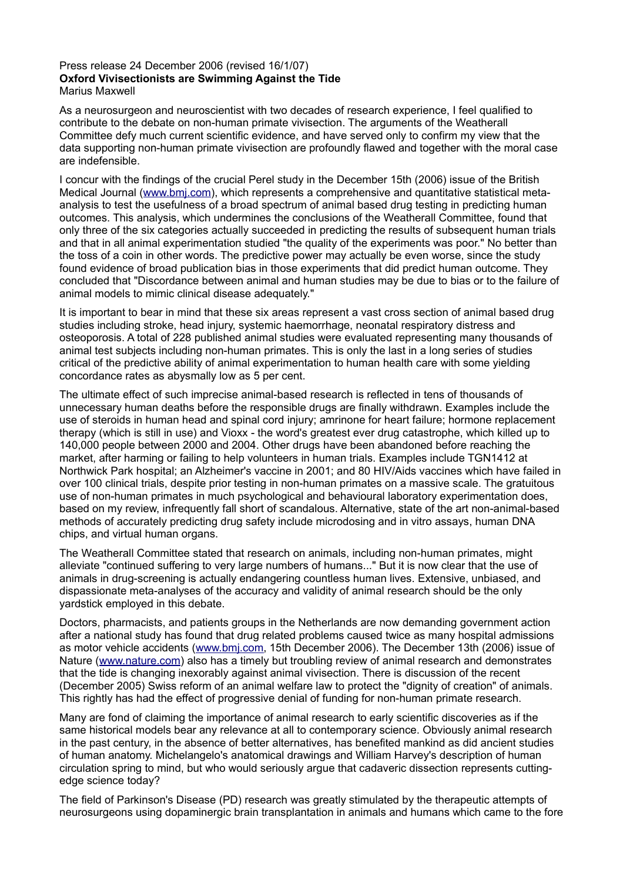## Press release 24 December 2006 (revised 16/1/07) **Oxford Vivisectionists are Swimming Against the Tide** Marius Maxwell

As a neurosurgeon and neuroscientist with two decades of research experience, I feel qualified to contribute to the debate on non-human primate vivisection. The arguments of the Weatherall Committee defy much current scientific evidence, and have served only to confirm my view that the data supporting non-human primate vivisection are profoundly flawed and together with the moral case are indefensible.

I concur with the findings of the crucial Perel study in the December 15th (2006) issue of the British Medical Journal [\(www.bmj.com\)](http://www.bmj.com/), which represents a comprehensive and quantitative statistical metaanalysis to test the usefulness of a broad spectrum of animal based drug testing in predicting human outcomes. This analysis, which undermines the conclusions of the Weatherall Committee, found that only three of the six categories actually succeeded in predicting the results of subsequent human trials and that in all animal experimentation studied "the quality of the experiments was poor." No better than the toss of a coin in other words. The predictive power may actually be even worse, since the study found evidence of broad publication bias in those experiments that did predict human outcome. They concluded that "Discordance between animal and human studies may be due to bias or to the failure of animal models to mimic clinical disease adequately."

It is important to bear in mind that these six areas represent a vast cross section of animal based drug studies including stroke, head injury, systemic haemorrhage, neonatal respiratory distress and osteoporosis. A total of 228 published animal studies were evaluated representing many thousands of animal test subjects including non-human primates. This is only the last in a long series of studies critical of the predictive ability of animal experimentation to human health care with some yielding concordance rates as abysmally low as 5 per cent.

The ultimate effect of such imprecise animal-based research is reflected in tens of thousands of unnecessary human deaths before the responsible drugs are finally withdrawn. Examples include the use of steroids in human head and spinal cord injury; amrinone for heart failure; hormone replacement therapy (which is still in use) and Vioxx - the word's greatest ever drug catastrophe, which killed up to 140,000 people between 2000 and 2004. Other drugs have been abandoned before reaching the market, after harming or failing to help volunteers in human trials. Examples include TGN1412 at Northwick Park hospital; an Alzheimer's vaccine in 2001; and 80 HIV/Aids vaccines which have failed in over 100 clinical trials, despite prior testing in non-human primates on a massive scale. The gratuitous use of non-human primates in much psychological and behavioural laboratory experimentation does, based on my review, infrequently fall short of scandalous. Alternative, state of the art non-animal-based methods of accurately predicting drug safety include microdosing and in vitro assays, human DNA chips, and virtual human organs.

The Weatherall Committee stated that research on animals, including non-human primates, might alleviate "continued suffering to very large numbers of humans..." But it is now clear that the use of animals in drug-screening is actually endangering countless human lives. Extensive, unbiased, and dispassionate meta-analyses of the accuracy and validity of animal research should be the only yardstick employed in this debate.

Doctors, pharmacists, and patients groups in the Netherlands are now demanding government action after a national study has found that drug related problems caused twice as many hospital admissions as motor vehicle accidents [\(www.bmj.com,](http://www.bmj.com/) 15th December 2006). The December 13th (2006) issue of Nature [\(www.nature.com\)](http://www.nature.com/) also has a timely but troubling review of animal research and demonstrates that the tide is changing inexorably against animal vivisection. There is discussion of the recent (December 2005) Swiss reform of an animal welfare law to protect the "dignity of creation" of animals. This rightly has had the effect of progressive denial of funding for non-human primate research.

Many are fond of claiming the importance of animal research to early scientific discoveries as if the same historical models bear any relevance at all to contemporary science. Obviously animal research in the past century, in the absence of better alternatives, has benefited mankind as did ancient studies of human anatomy. Michelangelo's anatomical drawings and William Harvey's description of human circulation spring to mind, but who would seriously argue that cadaveric dissection represents cuttingedge science today?

The field of Parkinson's Disease (PD) research was greatly stimulated by the therapeutic attempts of neurosurgeons using dopaminergic brain transplantation in animals and humans which came to the fore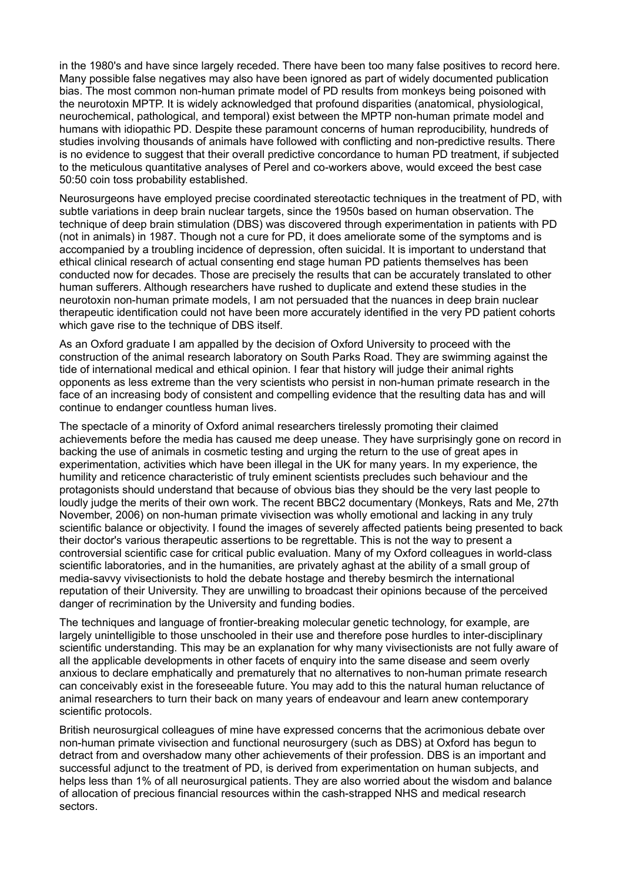in the 1980's and have since largely receded. There have been too many false positives to record here. Many possible false negatives may also have been ignored as part of widely documented publication bias. The most common non-human primate model of PD results from monkeys being poisoned with the neurotoxin MPTP. It is widely acknowledged that profound disparities (anatomical, physiological, neurochemical, pathological, and temporal) exist between the MPTP non-human primate model and humans with idiopathic PD. Despite these paramount concerns of human reproducibility, hundreds of studies involving thousands of animals have followed with conflicting and non-predictive results. There is no evidence to suggest that their overall predictive concordance to human PD treatment, if subjected to the meticulous quantitative analyses of Perel and co-workers above, would exceed the best case 50:50 coin toss probability established.

Neurosurgeons have employed precise coordinated stereotactic techniques in the treatment of PD, with subtle variations in deep brain nuclear targets, since the 1950s based on human observation. The technique of deep brain stimulation (DBS) was discovered through experimentation in patients with PD (not in animals) in 1987. Though not a cure for PD, it does ameliorate some of the symptoms and is accompanied by a troubling incidence of depression, often suicidal. It is important to understand that ethical clinical research of actual consenting end stage human PD patients themselves has been conducted now for decades. Those are precisely the results that can be accurately translated to other human sufferers. Although researchers have rushed to duplicate and extend these studies in the neurotoxin non-human primate models, I am not persuaded that the nuances in deep brain nuclear therapeutic identification could not have been more accurately identified in the very PD patient cohorts which gave rise to the technique of DBS itself.

As an Oxford graduate I am appalled by the decision of Oxford University to proceed with the construction of the animal research laboratory on South Parks Road. They are swimming against the tide of international medical and ethical opinion. I fear that history will judge their animal rights opponents as less extreme than the very scientists who persist in non-human primate research in the face of an increasing body of consistent and compelling evidence that the resulting data has and will continue to endanger countless human lives.

The spectacle of a minority of Oxford animal researchers tirelessly promoting their claimed achievements before the media has caused me deep unease. They have surprisingly gone on record in backing the use of animals in cosmetic testing and urging the return to the use of great apes in experimentation, activities which have been illegal in the UK for many years. In my experience, the humility and reticence characteristic of truly eminent scientists precludes such behaviour and the protagonists should understand that because of obvious bias they should be the very last people to loudly judge the merits of their own work. The recent BBC2 documentary (Monkeys, Rats and Me, 27th November, 2006) on non-human primate vivisection was wholly emotional and lacking in any truly scientific balance or objectivity. I found the images of severely affected patients being presented to back their doctor's various therapeutic assertions to be regrettable. This is not the way to present a controversial scientific case for critical public evaluation. Many of my Oxford colleagues in world-class scientific laboratories, and in the humanities, are privately aghast at the ability of a small group of media-savvy vivisectionists to hold the debate hostage and thereby besmirch the international reputation of their University. They are unwilling to broadcast their opinions because of the perceived danger of recrimination by the University and funding bodies.

The techniques and language of frontier-breaking molecular genetic technology, for example, are largely unintelligible to those unschooled in their use and therefore pose hurdles to inter-disciplinary scientific understanding. This may be an explanation for why many vivisectionists are not fully aware of all the applicable developments in other facets of enquiry into the same disease and seem overly anxious to declare emphatically and prematurely that no alternatives to non-human primate research can conceivably exist in the foreseeable future. You may add to this the natural human reluctance of animal researchers to turn their back on many years of endeavour and learn anew contemporary scientific protocols.

British neurosurgical colleagues of mine have expressed concerns that the acrimonious debate over non-human primate vivisection and functional neurosurgery (such as DBS) at Oxford has begun to detract from and overshadow many other achievements of their profession. DBS is an important and successful adjunct to the treatment of PD, is derived from experimentation on human subjects, and helps less than 1% of all neurosurgical patients. They are also worried about the wisdom and balance of allocation of precious financial resources within the cash-strapped NHS and medical research sectors.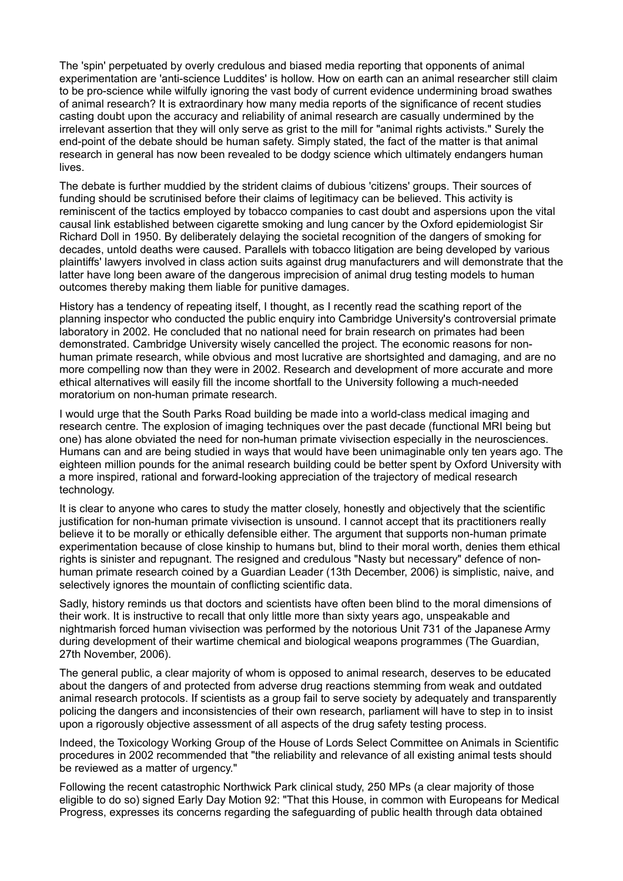The 'spin' perpetuated by overly credulous and biased media reporting that opponents of animal experimentation are 'anti-science Luddites' is hollow. How on earth can an animal researcher still claim to be pro-science while wilfully ignoring the vast body of current evidence undermining broad swathes of animal research? It is extraordinary how many media reports of the significance of recent studies casting doubt upon the accuracy and reliability of animal research are casually undermined by the irrelevant assertion that they will only serve as grist to the mill for "animal rights activists." Surely the end-point of the debate should be human safety. Simply stated, the fact of the matter is that animal research in general has now been revealed to be dodgy science which ultimately endangers human lives.

The debate is further muddied by the strident claims of dubious 'citizens' groups. Their sources of funding should be scrutinised before their claims of legitimacy can be believed. This activity is reminiscent of the tactics employed by tobacco companies to cast doubt and aspersions upon the vital causal link established between cigarette smoking and lung cancer by the Oxford epidemiologist Sir Richard Doll in 1950. By deliberately delaying the societal recognition of the dangers of smoking for decades, untold deaths were caused. Parallels with tobacco litigation are being developed by various plaintiffs' lawyers involved in class action suits against drug manufacturers and will demonstrate that the latter have long been aware of the dangerous imprecision of animal drug testing models to human outcomes thereby making them liable for punitive damages.

History has a tendency of repeating itself, I thought, as I recently read the scathing report of the planning inspector who conducted the public enquiry into Cambridge University's controversial primate laboratory in 2002. He concluded that no national need for brain research on primates had been demonstrated. Cambridge University wisely cancelled the project. The economic reasons for nonhuman primate research, while obvious and most lucrative are shortsighted and damaging, and are no more compelling now than they were in 2002. Research and development of more accurate and more ethical alternatives will easily fill the income shortfall to the University following a much-needed moratorium on non-human primate research.

I would urge that the South Parks Road building be made into a world-class medical imaging and research centre. The explosion of imaging techniques over the past decade (functional MRI being but one) has alone obviated the need for non-human primate vivisection especially in the neurosciences. Humans can and are being studied in ways that would have been unimaginable only ten years ago. The eighteen million pounds for the animal research building could be better spent by Oxford University with a more inspired, rational and forward-looking appreciation of the trajectory of medical research technology.

It is clear to anyone who cares to study the matter closely, honestly and objectively that the scientific justification for non-human primate vivisection is unsound. I cannot accept that its practitioners really believe it to be morally or ethically defensible either. The argument that supports non-human primate experimentation because of close kinship to humans but, blind to their moral worth, denies them ethical rights is sinister and repugnant. The resigned and credulous "Nasty but necessary" defence of nonhuman primate research coined by a Guardian Leader (13th December, 2006) is simplistic, naive, and selectively ignores the mountain of conflicting scientific data.

Sadly, history reminds us that doctors and scientists have often been blind to the moral dimensions of their work. It is instructive to recall that only little more than sixty years ago, unspeakable and nightmarish forced human vivisection was performed by the notorious Unit 731 of the Japanese Army during development of their wartime chemical and biological weapons programmes (The Guardian, 27th November, 2006).

The general public, a clear majority of whom is opposed to animal research, deserves to be educated about the dangers of and protected from adverse drug reactions stemming from weak and outdated animal research protocols. If scientists as a group fail to serve society by adequately and transparently policing the dangers and inconsistencies of their own research, parliament will have to step in to insist upon a rigorously objective assessment of all aspects of the drug safety testing process.

Indeed, the Toxicology Working Group of the House of Lords Select Committee on Animals in Scientific procedures in 2002 recommended that "the reliability and relevance of all existing animal tests should be reviewed as a matter of urgency."

Following the recent catastrophic Northwick Park clinical study, 250 MPs (a clear majority of those eligible to do so) signed Early Day Motion 92: "That this House, in common with Europeans for Medical Progress, expresses its concerns regarding the safeguarding of public health through data obtained